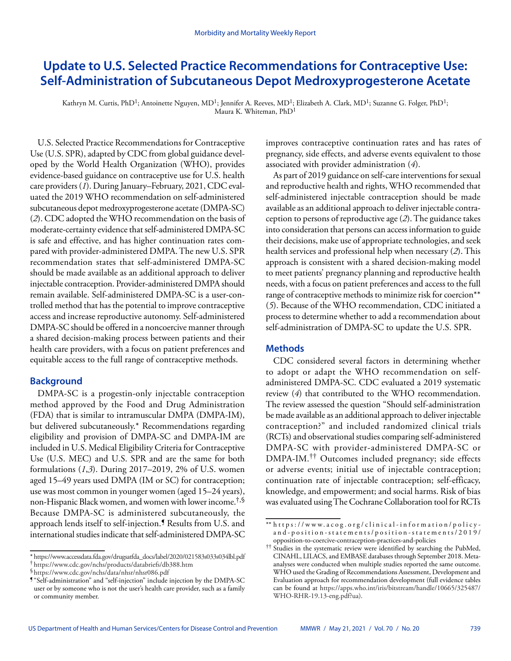# **Update to U.S. Selected Practice Recommendations for Contraceptive Use: Self-Administration of Subcutaneous Depot Medroxyprogesterone Acetate**

Kathryn M. Curtis, PhD<sup>1</sup>; Antoinette Nguyen, MD<sup>1</sup>; Jennifer A. Reeves, MD<sup>1</sup>; Elizabeth A. Clark, MD<sup>1</sup>; Suzanne G. Folger, PhD<sup>1</sup>; Maura K. Whiteman, PhD1

U.S. Selected Practice Recommendations for Contraceptive Use (U.S. SPR), adapted by CDC from global guidance developed by the World Health Organization (WHO), provides evidence-based guidance on contraceptive use for U.S. health care providers (*1*). During January–February, 2021, CDC evaluated the 2019 WHO recommendation on self-administered subcutaneous depot medroxyprogesterone acetate (DMPA-SC) (*2*). CDC adopted the WHO recommendation on the basis of moderate-certainty evidence that self-administered DMPA-SC is safe and effective, and has higher continuation rates compared with provider-administered DMPA. The new U.S. SPR recommendation states that self-administered DMPA-SC should be made available as an additional approach to deliver injectable contraception. Provider-administered DMPA should remain available. Self-administered DMPA-SC is a user-controlled method that has the potential to improve contraceptive access and increase reproductive autonomy. Self-administered DMPA-SC should be offered in a noncoercive manner through a shared decision-making process between patients and their health care providers, with a focus on patient preferences and equitable access to the full range of contraceptive methods.

## **Background**

DMPA-SC is a progestin-only injectable contraception method approved by the Food and Drug Administration (FDA) that is similar to intramuscular DMPA (DMPA-IM), but delivered subcutaneously.\* Recommendations regarding eligibility and provision of DMPA-SC and DMPA-IM are included in U.S. Medical Eligibility Criteria for Contraceptive Use (U.S. MEC) and U.S. SPR and are the same for both formulations (*1*,*3*). During 2017–2019, 2% of U.S. women aged 15–49 years used DMPA (IM or SC) for contraception; use was most common in younger women (aged 15–24 years), non-Hispanic Black women, and women with lower income.†,§ Because DMPA-SC is administered subcutaneously, the approach lends itself to self-injection.¶ Results from U.S. and international studies indicate that self-administered DMPA-SC

improves contraceptive continuation rates and has rates of pregnancy, side effects, and adverse events equivalent to those associated with provider administration (*4*).

As part of 2019 guidance on self-care interventions for sexual and reproductive health and rights, WHO recommended that self-administered injectable contraception should be made available as an additional approach to deliver injectable contraception to persons of reproductive age (*2*). The guidance takes into consideration that persons can access information to guide their decisions, make use of appropriate technologies, and seek health services and professional help when necessary (*2*). This approach is consistent with a shared decision-making model to meet patients' pregnancy planning and reproductive health needs, with a focus on patient preferences and access to the full range of contraceptive methods to minimize risk for coercion\*\* (*5*). Because of the WHO recommendation, CDC initiated a process to determine whether to add a recommendation about self-administration of DMPA-SC to update the U.S. SPR.

# **Methods**

CDC considered several factors in determining whether to adopt or adapt the WHO recommendation on selfadministered DMPA-SC. CDC evaluated a 2019 systematic review (*4*) that contributed to the WHO recommendation. The review assessed the question "Should self-administration be made available as an additional approach to deliver injectable contraception?" and included randomized clinical trials (RCTs) and observational studies comparing self-administered DMPA-SC with provider-administered DMPA-SC or DMPA-IM.†† Outcomes included pregnancy; side effects or adverse events; initial use of injectable contraception; continuation rate of injectable contraception; self-efficacy, knowledge, and empowerment; and social harms. Risk of bias was evaluated using The Cochrane Collaboration tool for RCTs

<sup>\*</sup> [https://www.accessdata.fda.gov/drugsatfda\\_docs/label/2020/021583s033s034lbl.pdf](https://www.accessdata.fda.gov/drugsatfda_docs/label/2020/021583s033s034lbl.pdf) † <https://www.cdc.gov/nchs/products/databriefs/db388.htm>

<sup>§</sup><https://www.cdc.gov/nchs/data/nhsr/nhsr086.pdf>

<sup>¶</sup> "Self-administration" and "self-injection" include injection by the DMPA-SC user or by someone who is not the user's health care provider, such as a family or community member.

<sup>\*\*</sup> [https://www.acog.org/clinical-information/policy](https://www.acog.org/clinical-information/policy-and-position-statements/position-statements/2019/opposition-to-coercive-contraception-practices-and-policies)[and-position-statements/position-statements/2019/](https://www.acog.org/clinical-information/policy-and-position-statements/position-statements/2019/opposition-to-coercive-contraception-practices-and-policies) [opposition-to-coercive-contraception-practices-and-policies](https://www.acog.org/clinical-information/policy-and-position-statements/position-statements/2019/opposition-to-coercive-contraception-practices-and-policies)

<sup>††</sup> Studies in the systematic review were identified by searching the PubMed, CINAHL, LILACS, and EMBASE databases through September 2018. Metaanalyses were conducted when multiple studies reported the same outcome. WHO used the Grading of Recommendations Assessment, Development and Evaluation approach for recommendation development (full evidence tables can be found at [https://apps.who.int/iris/bitstream/handle/10665/325487/](https://apps.who.int/iris/bitstream/handle/10665/325487/WHO-RHR-19.13-eng.pdf?ua) [WHO-RHR-19.13-eng.pdf?ua\)](https://apps.who.int/iris/bitstream/handle/10665/325487/WHO-RHR-19.13-eng.pdf?ua).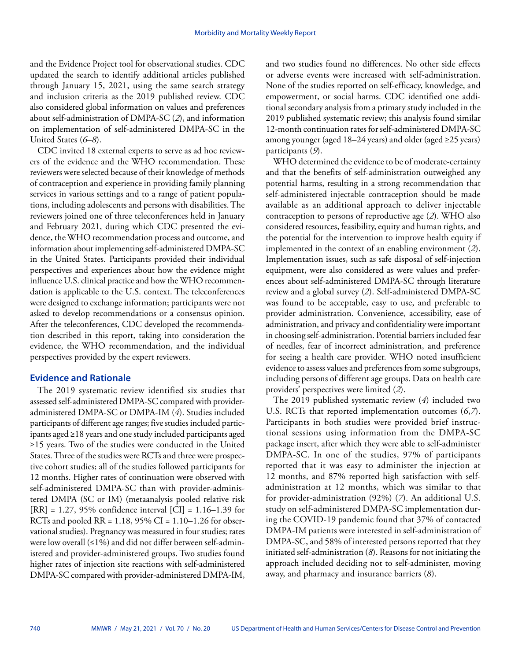and the Evidence Project tool for observational studies. CDC updated the search to identify additional articles published through January 15, 2021, using the same search strategy and inclusion criteria as the 2019 published review. CDC also considered global information on values and preferences about self-administration of DMPA-SC (*2*), and information on implementation of self-administered DMPA-SC in the United States (*6*–*8*).

CDC invited 18 external experts to serve as ad hoc reviewers of the evidence and the WHO recommendation. These reviewers were selected because of their knowledge of methods of contraception and experience in providing family planning services in various settings and to a range of patient populations, including adolescents and persons with disabilities. The reviewers joined one of three teleconferences held in January and February 2021, during which CDC presented the evidence, the WHO recommendation process and outcome, and information about implementing self-administered DMPA-SC in the United States. Participants provided their individual perspectives and experiences about how the evidence might influence U.S. clinical practice and how the WHO recommendation is applicable to the U.S. context. The teleconferences were designed to exchange information; participants were not asked to develop recommendations or a consensus opinion. After the teleconferences, CDC developed the recommendation described in this report, taking into consideration the evidence, the WHO recommendation, and the individual perspectives provided by the expert reviewers.

## **Evidence and Rationale**

The 2019 systematic review identified six studies that assessed self-administered DMPA-SC compared with provideradministered DMPA-SC or DMPA-IM (*4*). Studies included participants of different age ranges; five studies included participants aged ≥18 years and one study included participants aged ≥15 years. Two of the studies were conducted in the United States. Three of the studies were RCTs and three were prospective cohort studies; all of the studies followed participants for 12 months. Higher rates of continuation were observed with self-administered DMPA-SC than with provider-administered DMPA (SC or IM) (metaanalysis pooled relative risk  $[RR] = 1.27, 95\%$  confidence interval  $[CI] = 1.16 - 1.39$  for RCTs and pooled  $RR = 1.18, 95\%$  CI = 1.10–1.26 for observational studies). Pregnancy was measured in four studies; rates were low overall (≤1%) and did not differ between self-administered and provider-administered groups. Two studies found higher rates of injection site reactions with self-administered DMPA-SC compared with provider-administered DMPA-IM, and two studies found no differences. No other side effects or adverse events were increased with self-administration. None of the studies reported on self-efficacy, knowledge, and empowerment, or social harms. CDC identified one additional secondary analysis from a primary study included in the 2019 published systematic review; this analysis found similar 12-month continuation rates for self-administered DMPA-SC among younger (aged 18–24 years) and older (aged ≥25 years) participants (*9*).

WHO determined the evidence to be of moderate-certainty and that the benefits of self-administration outweighed any potential harms, resulting in a strong recommendation that self-administered injectable contraception should be made available as an additional approach to deliver injectable contraception to persons of reproductive age (*2*). WHO also considered resources, feasibility, equity and human rights, and the potential for the intervention to improve health equity if implemented in the context of an enabling environment (*2*). Implementation issues, such as safe disposal of self-injection equipment, were also considered as were values and preferences about self-administered DMPA-SC through literature review and a global survey (*2*). Self-administered DMPA-SC was found to be acceptable, easy to use, and preferable to provider administration. Convenience, accessibility, ease of administration, and privacy and confidentiality were important in choosing self-administration. Potential barriers included fear of needles, fear of incorrect administration, and preference for seeing a health care provider. WHO noted insufficient evidence to assess values and preferences from some subgroups, including persons of different age groups. Data on health care providers' perspectives were limited (*2*).

The 2019 published systematic review (*4*) included two U.S. RCTs that reported implementation outcomes (*6*,*7*). Participants in both studies were provided brief instructional sessions using information from the DMPA-SC package insert, after which they were able to self-administer DMPA-SC. In one of the studies, 97% of participants reported that it was easy to administer the injection at 12 months, and 87% reported high satisfaction with selfadministration at 12 months, which was similar to that for provider-administration (92%) (*7*). An additional U.S. study on self-administered DMPA-SC implementation during the COVID-19 pandemic found that 37% of contacted DMPA-IM patients were interested in self-administration of DMPA-SC, and 58% of interested persons reported that they initiated self-administration (*8*). Reasons for not initiating the approach included deciding not to self-administer, moving away, and pharmacy and insurance barriers (*8*).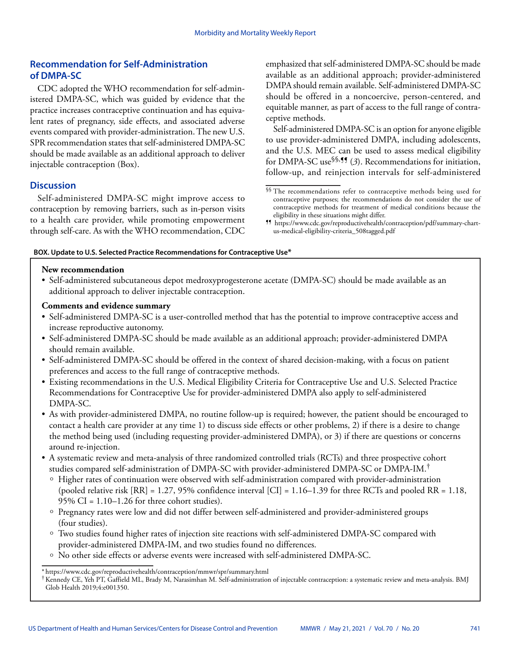# **Recommendation for Self-Administration of DMPA-SC**

CDC adopted the WHO recommendation for self-administered DMPA-SC, which was guided by evidence that the practice increases contraceptive continuation and has equivalent rates of pregnancy, side effects, and associated adverse events compared with provider-administration. The new U.S. SPR recommendation states that self-administered DMPA-SC should be made available as an additional approach to deliver injectable contraception (Box).

# **Discussion**

Self-administered DMPA-SC might improve access to contraception by removing barriers, such as in-person visits to a health care provider, while promoting empowerment through self-care. As with the WHO recommendation, CDC emphasized that self-administered DMPA-SC should be made available as an additional approach; provider-administered DMPA should remain available. Self-administered DMPA-SC should be offered in a noncoercive, person-centered, and equitable manner, as part of access to the full range of contraceptive methods.

Self-administered DMPA-SC is an option for anyone eligible to use provider-administered DMPA, including adolescents, and the U.S. MEC can be used to assess medical eligibility for DMPA-SC use<sup>§§, 1</sup>,  $\frac{3}{2}$ . Recommendations for initiation, follow-up, and reinjection intervals for self-administered

### **BOX. Update to U.S. Selected Practice Recommendations for Contraceptive Use\***

## **New recommendation**

• Self-administered subcutaneous depot medroxyprogesterone acetate (DMPA-SC) should be made available as an additional approach to deliver injectable contraception.

## **Comments and evidence summary**

- Self-administered DMPA-SC is a user-controlled method that has the potential to improve contraceptive access and increase reproductive autonomy.
- Self-administered DMPA-SC should be made available as an additional approach; provider-administered DMPA should remain available.
- Self-administered DMPA-SC should be offered in the context of shared decision-making, with a focus on patient preferences and access to the full range of contraceptive methods.
- Existing recommendations in the U.S. Medical Eligibility Criteria for Contraceptive Use and U.S. Selected Practice Recommendations for Contraceptive Use for provider-administered DMPA also apply to self-administered DMPA-SC.
- As with provider-administered DMPA, no routine follow-up is required; however, the patient should be encouraged to contact a health care provider at any time 1) to discuss side effects or other problems, 2) if there is a desire to change the method being used (including requesting provider-administered DMPA), or 3) if there are questions or concerns around re-injection.
- A systematic review and meta-analysis of three randomized controlled trials (RCTs) and three prospective cohort studies compared self-administration of DMPA-SC with provider-administered DMPA-SC or DMPA-IM.†
	- ű Higher rates of continuation were observed with self-administration compared with provider-administration (pooled relative risk  $[RR] = 1.27, 95\%$  confidence interval  $[CI] = 1.16-1.39$  for three RCTs and pooled  $RR = 1.18$ ,  $95\%$  CI = 1.10–1.26 for three cohort studies).
	- ű Pregnancy rates were low and did not differ between self-administered and provider-administered groups (four studies).
	- ű Two studies found higher rates of injection site reactions with self-administered DMPA-SC compared with provider-administered DMPA-IM, and two studies found no differences.
	- <sup>o</sup> No other side effects or adverse events were increased with self-administered DMPA-SC.

<sup>§§</sup> The recommendations refer to contraceptive methods being used for contraceptive purposes; the recommendations do not consider the use of contraceptive methods for treatment of medical conditions because the eligibility in these situations might differ.

<sup>¶¶</sup> [https://www.cdc.gov/reproductivehealth/contraception/pdf/summary-chart](https://www.cdc.gov/reproductivehealth/contraception/pdf/summary-chart-us-medical-eligibility-criteria_508tagged.pdf)[us-medical-eligibility-criteria\\_508tagged.pdf](https://www.cdc.gov/reproductivehealth/contraception/pdf/summary-chart-us-medical-eligibility-criteria_508tagged.pdf)

<sup>\*</sup> <https://www.cdc.gov/reproductivehealth/contraception/mmwr/spr/summary.html>

<sup>†</sup>Kennedy CE, Yeh PT, Gaffield ML, Brady M, Narasimhan M. Self-administration of injectable contraception: a systematic review and meta-analysis. BMJ Glob Health 2019;4:e001350.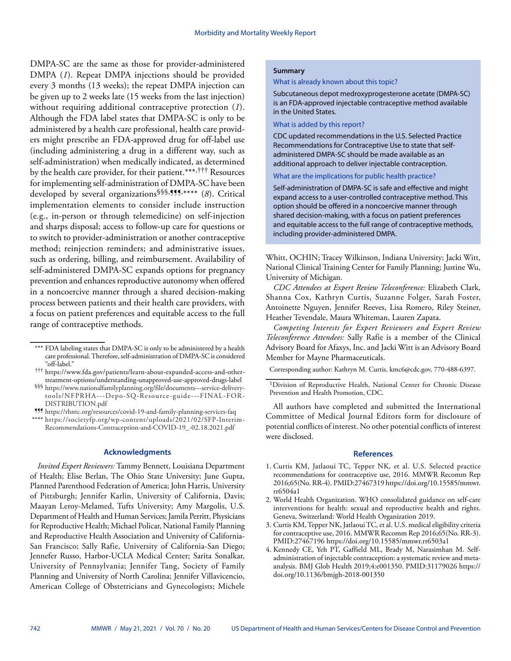DMPA-SC are the same as those for provider-administered DMPA (*1*). Repeat DMPA injections should be provided every 3 months (13 weeks); the repeat DMPA injection can be given up to 2 weeks late (15 weeks from the last injection) without requiring additional contraceptive protection (*1*). Although the FDA label states that DMPA-SC is only to be administered by a health care professional, health care providers might prescribe an FDA-approved drug for off-label use (including administering a drug in a different way, such as self-administration) when medically indicated, as determined by the health care provider, for their patient.\*\*\*,††† Resources for implementing self-administration of DMPA-SC have been developed by several organizations§§§,¶¶¶,\*\*\*\* (*8*). Critical implementation elements to consider include instruction (e.g., in-person or through telemedicine) on self-injection and sharps disposal; access to follow-up care for questions or to switch to provider-administration or another contraceptive method; reinjection reminders; and administrative issues, such as ordering, billing, and reimbursement. Availability of self-administered DMPA-SC expands options for pregnancy prevention and enhances reproductive autonomy when offered in a noncoercive manner through a shared decision-making process between patients and their health care providers, with a focus on patient preferences and equitable access to the full range of contraceptive methods.

¶¶¶ <https://rhntc.org/resources/covid-19-and-family-planning-services-faq> \*\*\*\* [https://societyfp.org/wp-content/uploads/2021/02/SFP-Interim-](https://societyfp.org/wp-content/uploads/2021/02/SFP-Interim-Recommendations-Contraception-and-COVID-19_-02.18.2021.pdf)[Recommendations-Contraception-and-COVID-19\\_-02.18.2021.pdf](https://societyfp.org/wp-content/uploads/2021/02/SFP-Interim-Recommendations-Contraception-and-COVID-19_-02.18.2021.pdf)

#### **Acknowledgments**

*Invited Expert Reviewers:* Tammy Bennett, Louisiana Department of Health; Elise Berlan, The Ohio State University; June Gupta, Planned Parenthood Federation of America; John Harris, University of Pittsburgh; Jennifer Karlin, University of California, Davis; Maayan Leroy-Melamed, Tufts University; Amy Margolis, U.S. Department of Health and Human Services; Jamila Perritt, Physicians for Reproductive Health; Michael Policar, National Family Planning and Reproductive Health Association and University of California-San Francisco; Sally Rafie, University of California-San Diego; Jennefer Russo, Harbor-UCLA Medical Center; Sarita Sonalkar, University of Pennsylvania; Jennifer Tang, Society of Family Planning and University of North Carolina; Jennifer Villavicencio, American College of Obstetricians and Gynecologists; Michele

#### **Summary**

What is already known about this topic?

Subcutaneous depot medroxyprogesterone acetate (DMPA-SC) is an FDA-approved injectable contraceptive method available in the United States.

#### What is added by this report?

CDC updated recommendations in the U.S. Selected Practice Recommendations for Contraceptive Use to state that selfadministered DMPA-SC should be made available as an additional approach to deliver injectable contraception.

#### What are the implications for public health practice?

Self-administration of DMPA-SC is safe and effective and might expand access to a user-controlled contraceptive method. This option should be offered in a noncoercive manner through shared decision-making, with a focus on patient preferences and equitable access to the full range of contraceptive methods, including provider-administered DMPA.

Whitt, OCHIN; Tracey Wilkinson, Indiana University; Jacki Witt, National Clinical Training Center for Family Planning; Justine Wu, University of Michigan.

*CDC Attendees at Expert Review Teleconference:* Elizabeth Clark, Shanna Cox, Kathryn Curtis, Suzanne Folger, Sarah Foster, Antoinette Nguyen, Jennifer Reeves, Lisa Romero, Riley Steiner, Heather Tevendale, Maura Whiteman, Lauren Zapata.

*Competing Interests for Expert Reviewers and Expert Review Teleconference Attendees:* Sally Rafie is a member of the Clinical Advisory Board for Afaxys, Inc. and Jacki Witt is an Advisory Board Member for Mayne Pharmaceuticals.

Corresponding author: Kathryn M. Curtis, [kmc6@cdc.gov,](mailto:kmc6@cdc.gov) 770-488-6397.

All authors have completed and submitted the International Committee of Medical Journal Editors form for disclosure of potential conflicts of interest. No other potential conflicts of interest were disclosed.

#### **References**

- 1. Curtis KM, Jatlaoui TC, Tepper NK, et al. U.S. Selected practice recommendations for contraceptive use, 2016. MMWR Recomm Rep 2016;65(No. RR-4)[. PMID:27467319](https://www.ncbi.nlm.nih.gov/entrez/query.fcgi?cmd=Retrieve&db=PubMed&list_uids=27467319&dopt=Abstract) [https://doi.org/10.15585/mmwr.](https://doi.org/10.15585/mmwr.rr6504a1) [rr6504a1](https://doi.org/10.15585/mmwr.rr6504a1)
- 2. World Health Organization. WHO consolidated guidance on self-care interventions for health: sexual and reproductive health and rights. Geneva, Switzerland: World Health Organization 2019.
- 3. Curtis KM, Tepper NK, Jatlaoui TC, et al. U.S. medical eligibility criteria for contraceptive use, 2016. MMWR Recomm Rep 2016;65(No. RR-3). [PMID:27467196](https://www.ncbi.nlm.nih.gov/entrez/query.fcgi?cmd=Retrieve&db=PubMed&list_uids=27467196&dopt=Abstract) <https://doi.org/10.15585/mmwr.rr6503a1>
- 4. Kennedy CE, Yeh PT, Gaffield ML, Brady M, Narasimhan M. Selfadministration of injectable contraception: a systematic review and metaanalysis. BMJ Glob Health 2019;4:e001350. [PMID:31179026](https://www.ncbi.nlm.nih.gov/entrez/query.fcgi?cmd=Retrieve&db=PubMed&list_uids=31179026&dopt=Abstract) [https://](https://doi.org/10.1136/bmjgh-2018-001350) [doi.org/10.1136/bmjgh-2018-001350](https://doi.org/10.1136/bmjgh-2018-001350)

<sup>\*\*\*</sup> FDA labeling states that DMPA-SC is only to be administered by a health care professional. Therefore, self-administration of DMPA-SC is considered "off-label."

<sup>†††</sup> [https://www.fda.gov/patients/learn-about-expanded-access-and-other](https://www.fda.gov/patients/learn-about-expanded-access-and-other-treatment-options/understanding-unapproved-use-approved-drugs-label)[treatment-options/understanding-unapproved-use-approved-drugs-label](https://www.fda.gov/patients/learn-about-expanded-access-and-other-treatment-options/understanding-unapproved-use-approved-drugs-label)

<sup>§§§</sup> [https://www.nationalfamilyplanning.org/file/documents---service-delivery](https://www.nationalfamilyplanning.org/file/documents---service-delivery-tools/NFPRHA---Depo-SQ-Resource-guide---FINAL-FOR-DISTRIBUTION.pdf)[tools/NFPRHA---Depo-SQ-Resource-guide---FINAL-FOR-](https://www.nationalfamilyplanning.org/file/documents---service-delivery-tools/NFPRHA---Depo-SQ-Resource-guide---FINAL-FOR-DISTRIBUTION.pdf)[DISTRIBUTION.pdf](https://www.nationalfamilyplanning.org/file/documents---service-delivery-tools/NFPRHA---Depo-SQ-Resource-guide---FINAL-FOR-DISTRIBUTION.pdf)

<sup>1</sup>Division of Reproductive Health, National Center for Chronic Disease Prevention and Health Promotion, CDC.